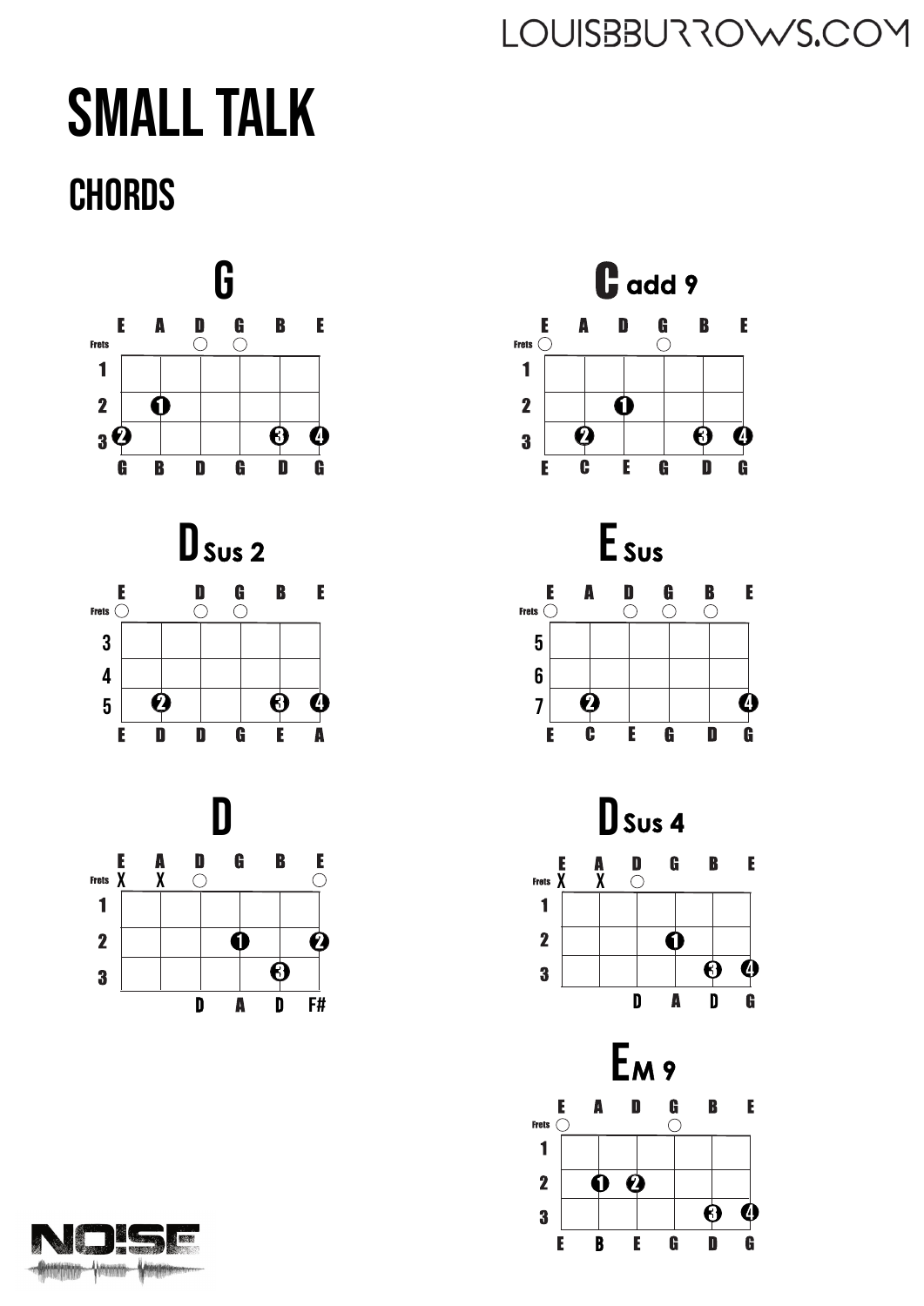## **SMALL TALK CHORDS**





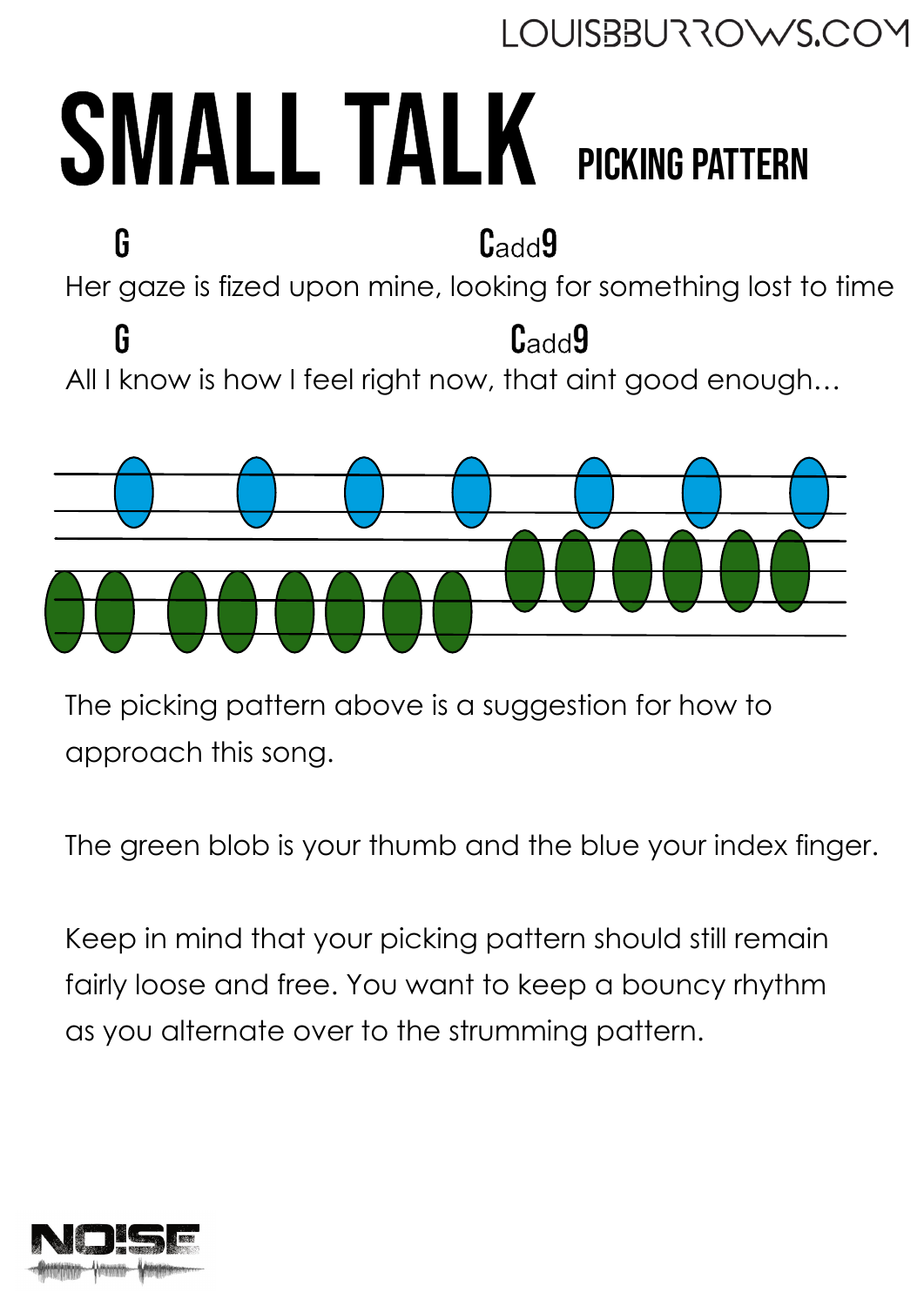## SMALL TALK Picking pattern

Her gaze is fized upon mine, looking for something lost to time All I know is how I feel right now, that aint good enough… G G Cadd9 Cadd9



The picking pattern above is a suggestion for how to approach this song.

The green blob is your thumb and the blue your index finger.

Keep in mind that your picking pattern should still remain fairly loose and free. You want to keep a bouncy rhythm as you alternate over to the strumming pattern.

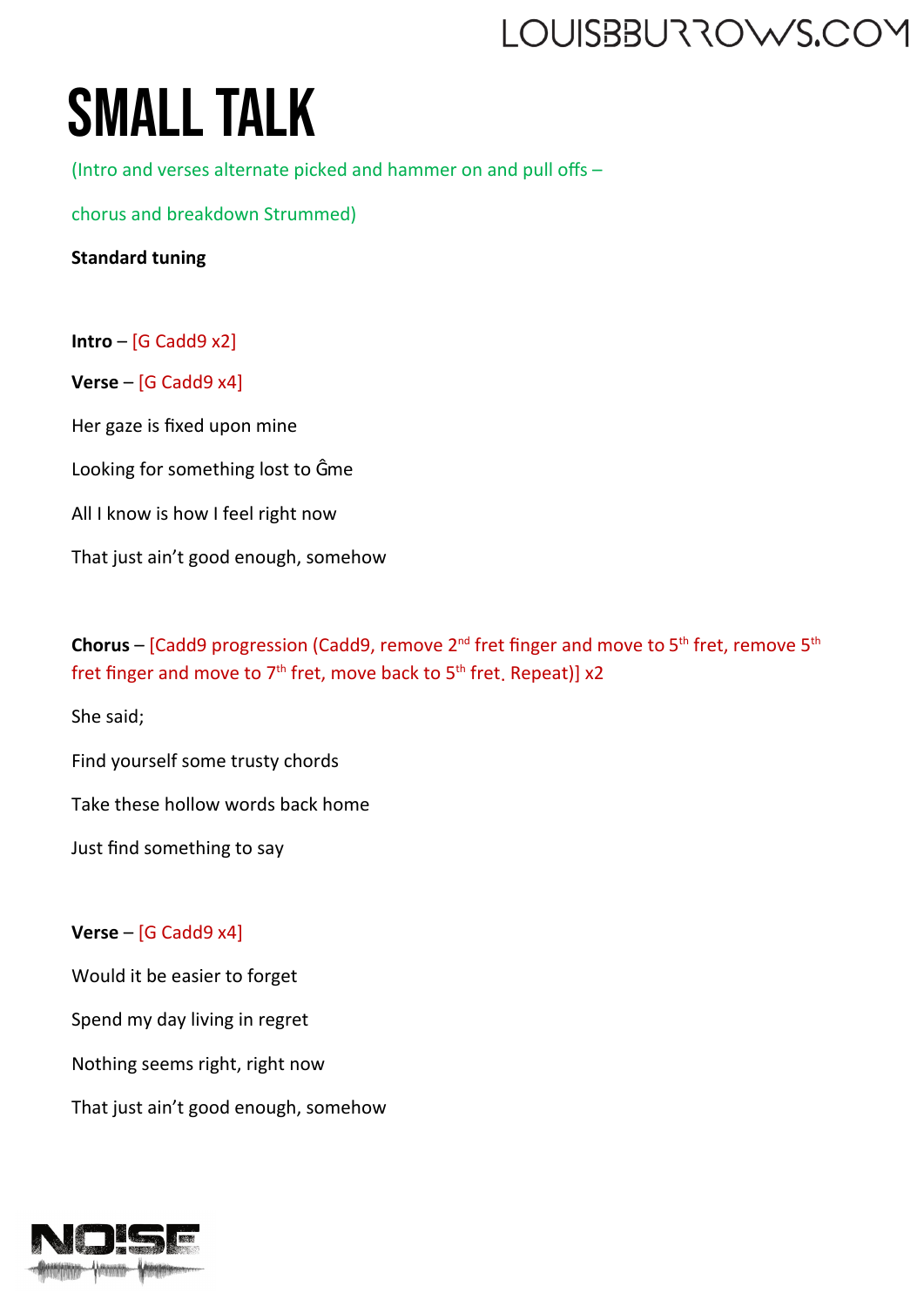# **SMALL TALK**

(Intro and verses alternate picked and hammer on and pull offs –

chorus and breakdown Strummed)

**Standard tuning**

**Intro** – [G Cadd9 x2] **Verse** – [G Cadd9 x4] Her gaze is fixed upon mine Looking for something lost to Ĝme All I know is how I feel right now That just ain't good enough, somehow

**Chorus** – [Cadd9 progression (Cadd9, remove 2<sup>nd</sup> fret finger and move to 5<sup>th</sup> fret, remove 5<sup>th</sup> fret finger and move to  $7<sup>th</sup>$  fret, move back to  $5<sup>th</sup>$  fret, Repeat)] x2

She said;

Find yourself some trusty chords

Take these hollow words back home

Just find something to say

#### **Verse** – [G Cadd9 x4]

Would it be easier to forget Spend my day living in regret Nothing seems right, right now That just ain't good enough, somehow